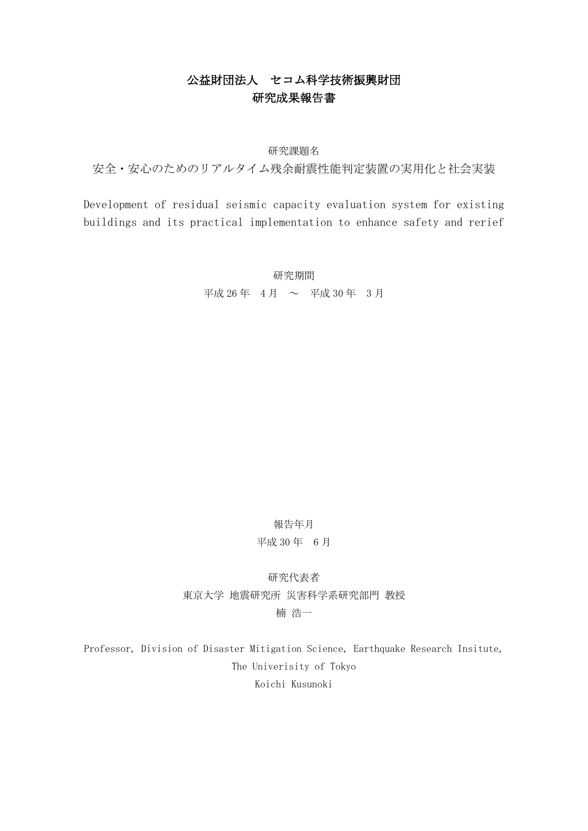# 公益財団法人 セコム科学技術振興財団 研究成果報告書

### 研究課題名

安全・安心のためのリアルタイム残余耐震性能判定装置の実用化と社会実装

Development of residual seismic capacity evaluation system for existing buildings and its practical implementation to enhance safety and rerief

> 研究期間 平成 26 年  $4$  月 ~ 平成 30 年  $3$  月

### 報告年月

## 平成 30 年 6 月

研究代表者 東京大学 地震研究所 災害科学系研究部門 教授 楠 浩一

Professor, Division of Disaster Mitigation Science, Earthquake Research Insitute, The Univerisity of Tokyo Koichi Kusunoki